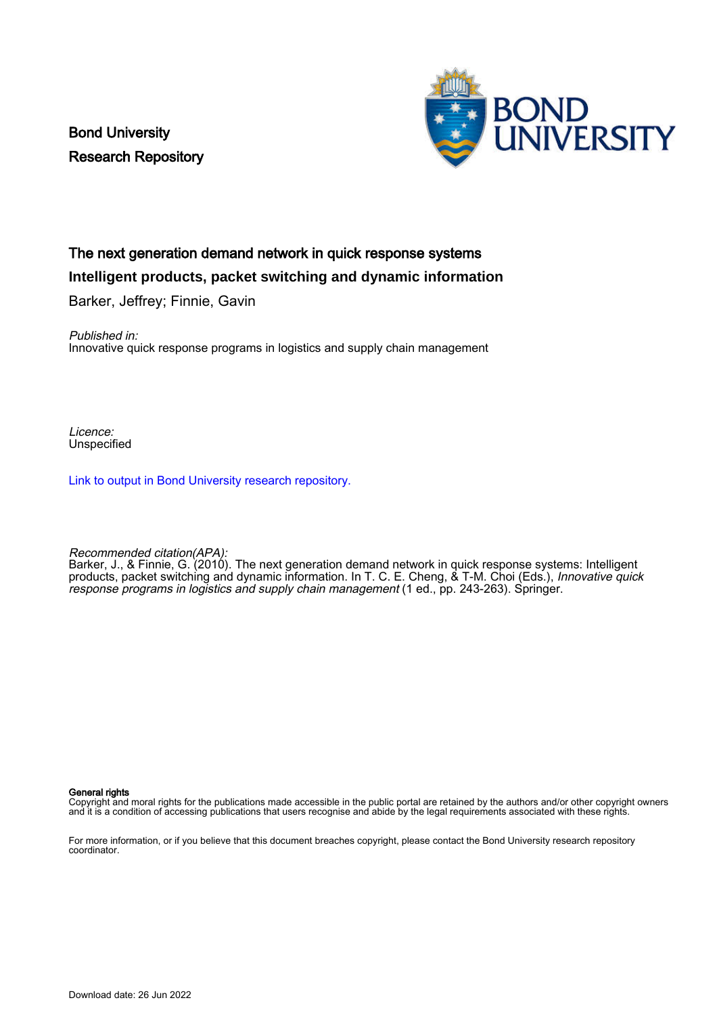Bond University Research Repository



## The next generation demand network in quick response systems

### **Intelligent products, packet switching and dynamic information**

Barker, Jeffrey; Finnie, Gavin

Published in: Innovative quick response programs in logistics and supply chain management

Licence: Unspecified

[Link to output in Bond University research repository.](https://research.bond.edu.au/en/publications/9bd8223d-8801-47f5-aa6b-23da1638f234)

Recommended citation(APA):

Barker, J., & Finnie, G. (2010). The next generation demand network in quick response systems: Intelligent products, packet switching and dynamic information. In T. C. E. Cheng, & T-M. Choi (Eds.), *Innovative quick* response programs in logistics and supply chain management (1 ed., pp. 243-263). Springer.

General rights

Copyright and moral rights for the publications made accessible in the public portal are retained by the authors and/or other copyright owners and it is a condition of accessing publications that users recognise and abide by the legal requirements associated with these rights.

For more information, or if you believe that this document breaches copyright, please contact the Bond University research repository coordinator.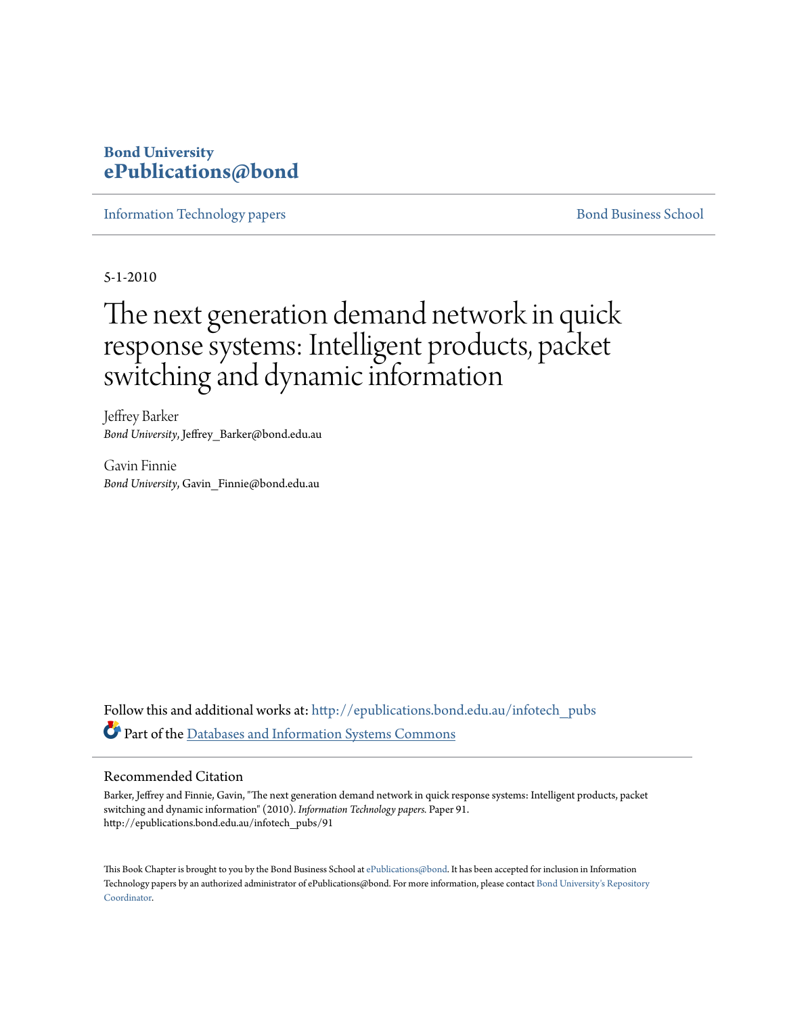## **Bond University [ePublications@bond](http://epublications.bond.edu.au?utm_source=epublications.bond.edu.au%2Finfotech_pubs%2F91&utm_medium=PDF&utm_campaign=PDFCoverPages)**

[Information Technology papers](http://epublications.bond.edu.au/infotech_pubs?utm_source=epublications.bond.edu.au%2Finfotech_pubs%2F91&utm_medium=PDF&utm_campaign=PDFCoverPages) **[Bond Business School](http://epublications.bond.edu.au/business?utm_source=epublications.bond.edu.au%2Finfotech_pubs%2F91&utm_medium=PDF&utm_campaign=PDFCoverPages)** 

5-1-2010

# The next generation demand network in quick response systems: Intelligent products, packet switching and dynamic information

Jeffrey Barker *Bond University*, Jeffrey\_Barker@bond.edu.au

Gavin Finnie *Bond University*, Gavin\_Finnie@bond.edu.au

Follow this and additional works at: [http://epublications.bond.edu.au/infotech\\_pubs](http://epublications.bond.edu.au/infotech_pubs?utm_source=epublications.bond.edu.au%2Finfotech_pubs%2F91&utm_medium=PDF&utm_campaign=PDFCoverPages) Part of the [Databases and Information Systems Commons](http://network.bepress.com/hgg/discipline/145?utm_source=epublications.bond.edu.au%2Finfotech_pubs%2F91&utm_medium=PDF&utm_campaign=PDFCoverPages)

#### Recommended Citation

Barker, Jeffrey and Finnie, Gavin, "The next generation demand network in quick response systems: Intelligent products, packet switching and dynamic information" (2010). *Information Technology papers.* Paper 91. http://epublications.bond.edu.au/infotech\_pubs/91

This Book Chapter is brought to you by the Bond Business School at [ePublications@bond.](http://epublications.bond.edu.au) It has been accepted for inclusion in Information Technology papers by an authorized administrator of ePublications@bond. For more information, please contact [Bond University's Repository](mailto:acass@bond.edu.au) [Coordinator](mailto:acass@bond.edu.au).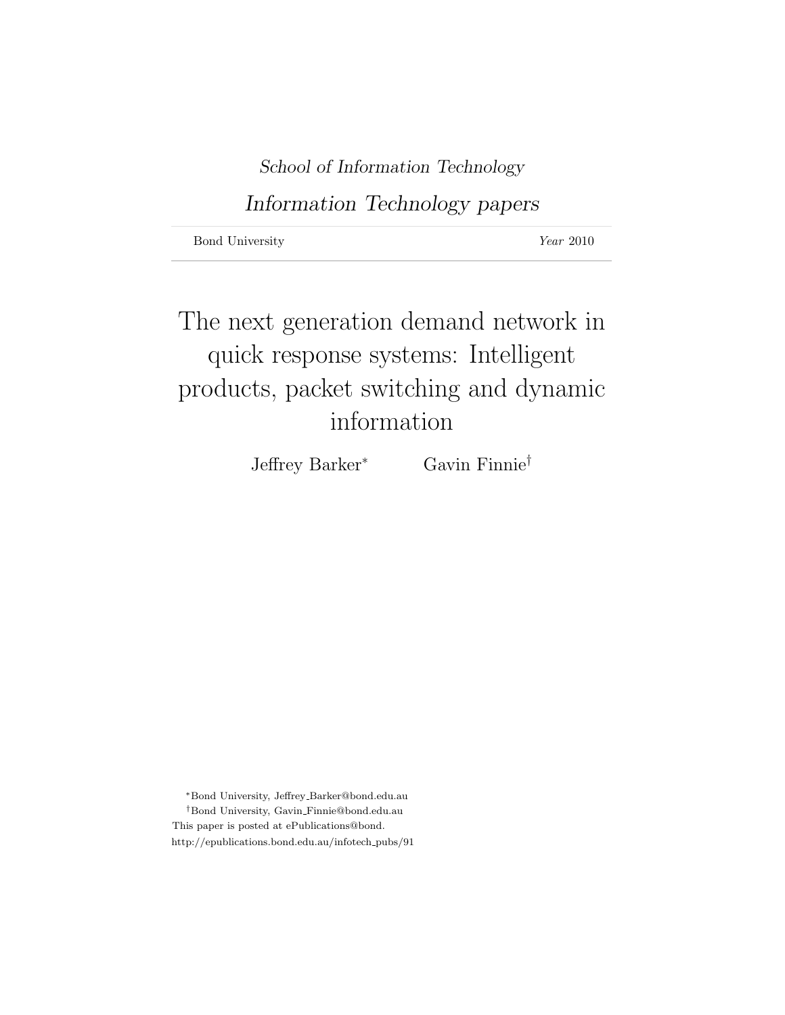School of Information Technology

Information Technology papers

Bond University Year 2010

# The next generation demand network in quick response systems: Intelligent products, packet switching and dynamic information

Jeffrey Barker<sup>∗</sup> Gavin Finnie†

<sup>∗</sup>Bond University, Jeffrey Barker@bond.edu.au †Bond University, Gavin Finnie@bond.edu.au This paper is posted at ePublications@bond. http://epublications.bond.edu.au/infotech pubs/91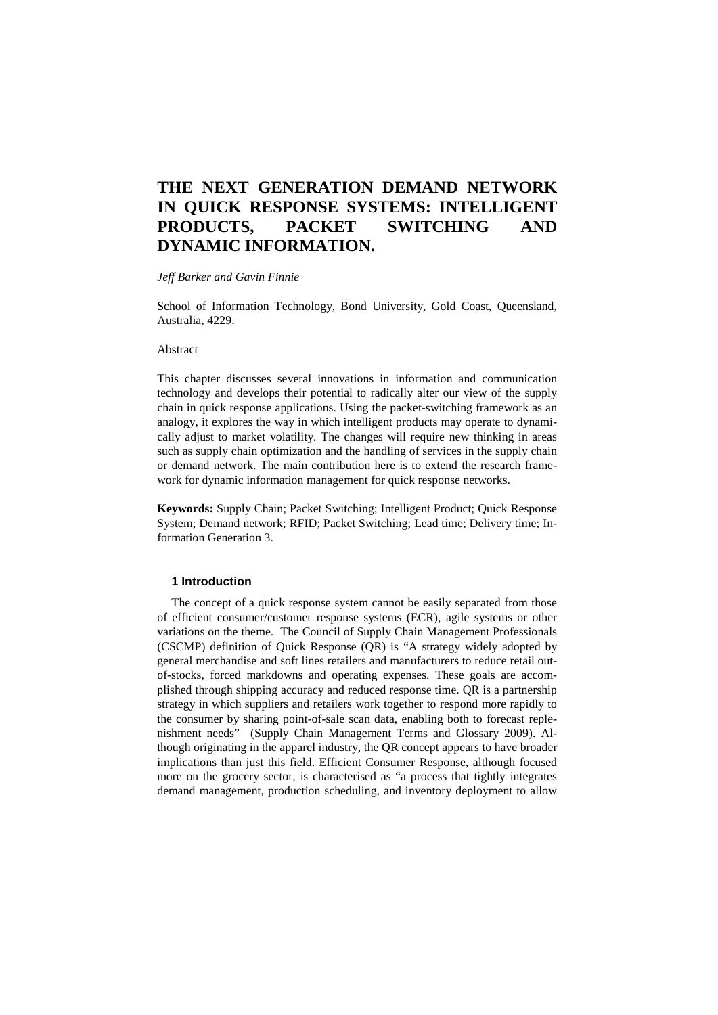# **THE NEXT GENERATION DEMAND NETWORK IN QUICK RESPONSE SYSTEMS: INTELLIGENT PRODUCTS, PACKET SWITCHING AND DYNAMIC INFORMATION.**

#### *Jeff Barker and Gavin Finnie*

School of Information Technology, Bond University, Gold Coast, Queensland, Australia, 4229.

#### Abstract

This chapter discusses several innovations in information and communication technology and develops their potential to radically alter our view of the supply chain in quick response applications. Using the packet-switching framework as an analogy, it explores the way in which intelligent products may operate to dynamically adjust to market volatility. The changes will require new thinking in areas such as supply chain optimization and the handling of services in the supply chain or demand network. The main contribution here is to extend the research framework for dynamic information management for quick response networks.

**Keywords:** Supply Chain; Packet Switching; Intelligent Product; Quick Response System; Demand network; RFID; Packet Switching; Lead time; Delivery time; Information Generation 3.

#### **1 Introduction**

The concept of a quick response system cannot be easily separated from those of efficient consumer/customer response systems (ECR), agile systems or other variations on the theme. The Council of Supply Chain Management Professionals (CSCMP) definition of Quick Response (QR) is "A strategy widely adopted by general merchandise and soft lines retailers and manufacturers to reduce retail outof-stocks, forced markdowns and operating expenses. These goals are accomplished through shipping accuracy and reduced response time. QR is a partnership strategy in which suppliers and retailers work together to respond more rapidly to the consumer by sharing point-of-sale scan data, enabling both to forecast replenishment needs" (Supply Chain Management Terms and Glossary 2009). Although originating in the apparel industry, the QR concept appears to have broader implications than just this field. Efficient Consumer Response, although focused more on the grocery sector, is characterised as "a process that tightly integrates demand management, production scheduling, and inventory deployment to allow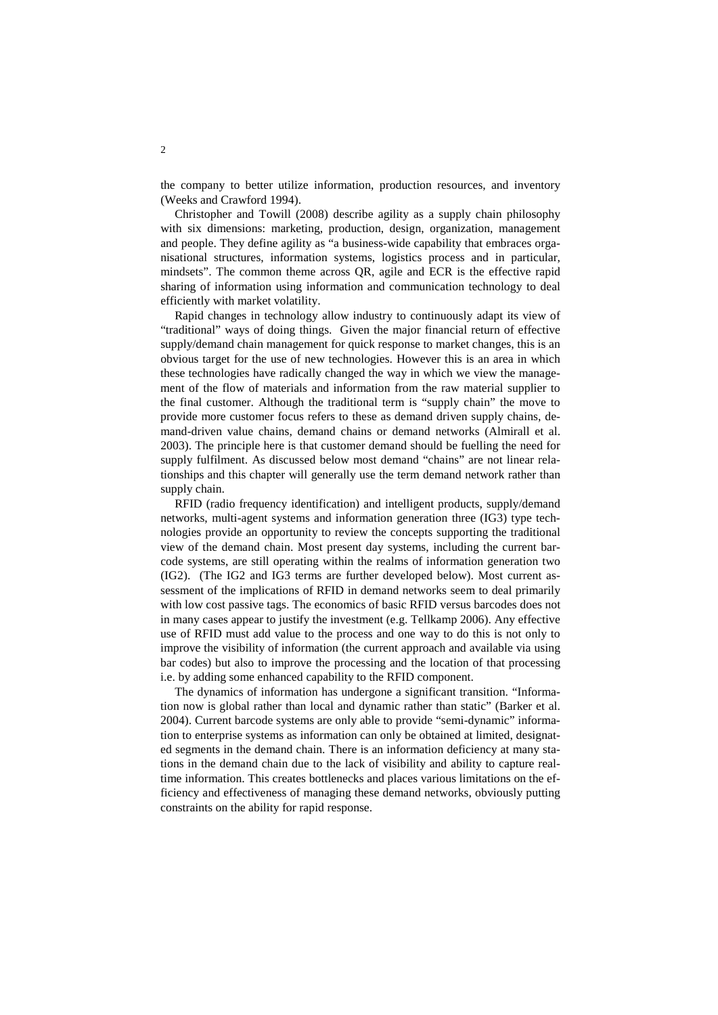the company to better utilize information, production resources, and inventory (Weeks and Crawford 1994).

Christopher and Towill (2008) describe agility as a supply chain philosophy with six dimensions: marketing, production, design, organization, management and people. They define agility as "a business-wide capability that embraces organisational structures, information systems, logistics process and in particular, mindsets". The common theme across QR, agile and ECR is the effective rapid sharing of information using information and communication technology to deal efficiently with market volatility.

Rapid changes in technology allow industry to continuously adapt its view of "traditional" ways of doing things. Given the major financial return of effective supply/demand chain management for quick response to market changes, this is an obvious target for the use of new technologies. However this is an area in which these technologies have radically changed the way in which we view the management of the flow of materials and information from the raw material supplier to the final customer. Although the traditional term is "supply chain" the move to provide more customer focus refers to these as demand driven supply chains, demand-driven value chains, demand chains or demand networks (Almirall et al. 2003). The principle here is that customer demand should be fuelling the need for supply fulfilment. As discussed below most demand "chains" are not linear relationships and this chapter will generally use the term demand network rather than supply chain.

RFID (radio frequency identification) and intelligent products, supply/demand networks, multi-agent systems and information generation three (IG3) type technologies provide an opportunity to review the concepts supporting the traditional view of the demand chain. Most present day systems, including the current barcode systems, are still operating within the realms of information generation two (IG2). (The IG2 and IG3 terms are further developed below). Most current assessment of the implications of RFID in demand networks seem to deal primarily with low cost passive tags. The economics of basic RFID versus barcodes does not in many cases appear to justify the investment (e.g. Tellkamp 2006). Any effective use of RFID must add value to the process and one way to do this is not only to improve the visibility of information (the current approach and available via using bar codes) but also to improve the processing and the location of that processing i.e. by adding some enhanced capability to the RFID component.

The dynamics of information has undergone a significant transition. "Information now is global rather than local and dynamic rather than static" (Barker et al. 2004). Current barcode systems are only able to provide "semi-dynamic" information to enterprise systems as information can only be obtained at limited, designated segments in the demand chain. There is an information deficiency at many stations in the demand chain due to the lack of visibility and ability to capture realtime information. This creates bottlenecks and places various limitations on the efficiency and effectiveness of managing these demand networks, obviously putting constraints on the ability for rapid response.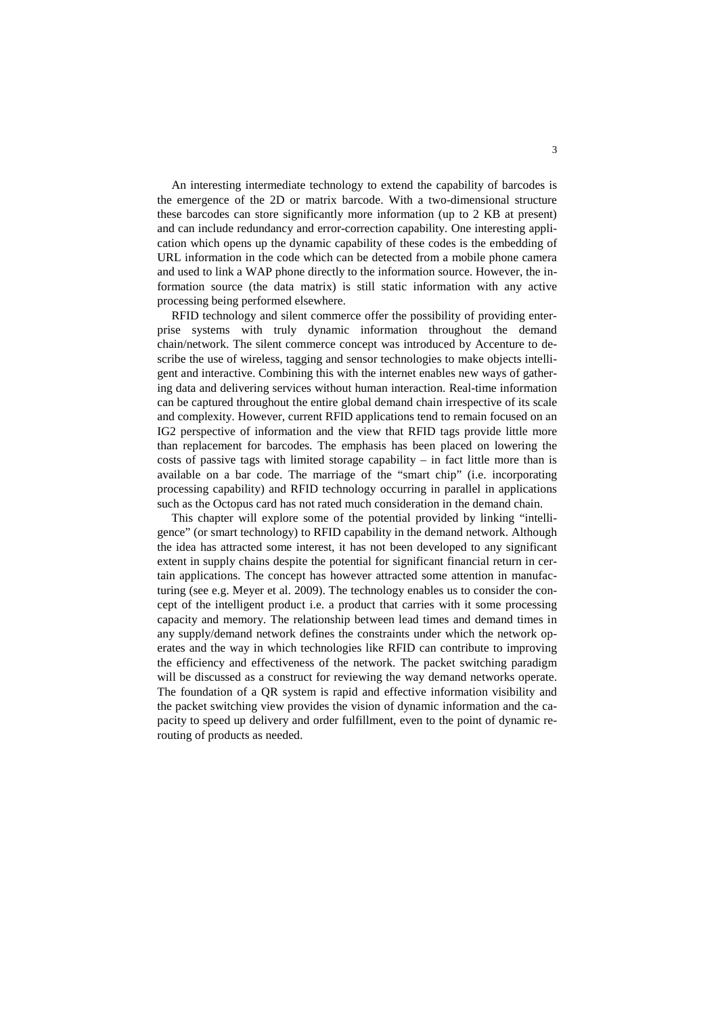An interesting intermediate technology to extend the capability of barcodes is the emergence of the 2D or matrix barcode. With a two-dimensional structure these barcodes can store significantly more information (up to 2 KB at present) and can include redundancy and error-correction capability. One interesting application which opens up the dynamic capability of these codes is the embedding of URL information in the code which can be detected from a mobile phone camera and used to link a WAP phone directly to the information source. However, the information source (the data matrix) is still static information with any active processing being performed elsewhere.

RFID technology and silent commerce offer the possibility of providing enterprise systems with truly dynamic information throughout the demand chain/network. The silent commerce concept was introduced by Accenture to describe the use of wireless, tagging and sensor technologies to make objects intelligent and interactive. Combining this with the internet enables new ways of gathering data and delivering services without human interaction. Real-time information can be captured throughout the entire global demand chain irrespective of its scale and complexity. However, current RFID applications tend to remain focused on an IG2 perspective of information and the view that RFID tags provide little more than replacement for barcodes. The emphasis has been placed on lowering the costs of passive tags with limited storage capability – in fact little more than is available on a bar code. The marriage of the "smart chip" (i.e. incorporating processing capability) and RFID technology occurring in parallel in applications such as the Octopus card has not rated much consideration in the demand chain.

This chapter will explore some of the potential provided by linking "intelligence" (or smart technology) to RFID capability in the demand network. Although the idea has attracted some interest, it has not been developed to any significant extent in supply chains despite the potential for significant financial return in certain applications. The concept has however attracted some attention in manufacturing (see e.g. Meyer et al. 2009). The technology enables us to consider the concept of the intelligent product i.e. a product that carries with it some processing capacity and memory. The relationship between lead times and demand times in any supply/demand network defines the constraints under which the network operates and the way in which technologies like RFID can contribute to improving the efficiency and effectiveness of the network. The packet switching paradigm will be discussed as a construct for reviewing the way demand networks operate. The foundation of a QR system is rapid and effective information visibility and the packet switching view provides the vision of dynamic information and the capacity to speed up delivery and order fulfillment, even to the point of dynamic rerouting of products as needed.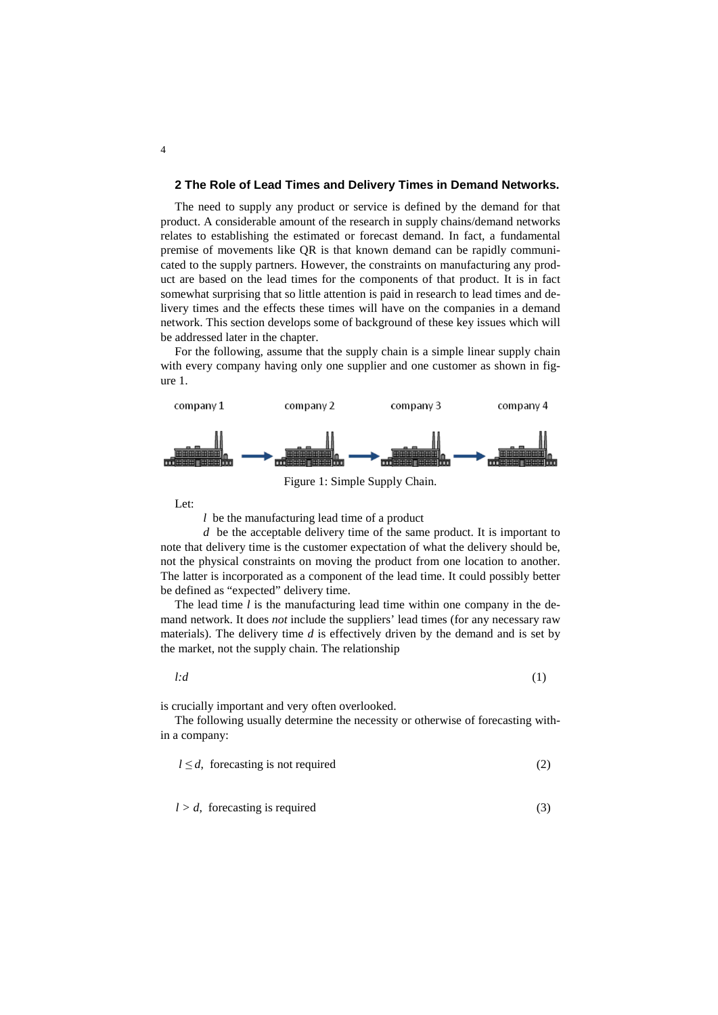#### **2 The Role of Lead Times and Delivery Times in Demand Networks.**

The need to supply any product or service is defined by the demand for that product. A considerable amount of the research in supply chains/demand networks relates to establishing the estimated or forecast demand. In fact, a fundamental premise of movements like QR is that known demand can be rapidly communicated to the supply partners. However, the constraints on manufacturing any product are based on the lead times for the components of that product. It is in fact somewhat surprising that so little attention is paid in research to lead times and delivery times and the effects these times will have on the companies in a demand network. This section develops some of background of these key issues which will be addressed later in the chapter.

For the following, assume that the supply chain is a simple linear supply chain with every company having only one supplier and one customer as shown in figure 1.



Let:

*l* be the manufacturing lead time of a product

*d* be the acceptable delivery time of the same product. It is important to note that delivery time is the customer expectation of what the delivery should be, not the physical constraints on moving the product from one location to another. The latter is incorporated as a component of the lead time. It could possibly better be defined as "expected" delivery time.

The lead time *l* is the manufacturing lead time within one company in the demand network. It does *not* include the suppliers' lead times (for any necessary raw materials). The delivery time *d* is effectively driven by the demand and is set by the market, not the supply chain. The relationship

*l:d* (1)

is crucially important and very often overlooked.

The following usually determine the necessity or otherwise of forecasting within a company:

$$
l \le d, \text{ forecasting is not required} \tag{2}
$$

 $l > d$ , forecasting is required (3)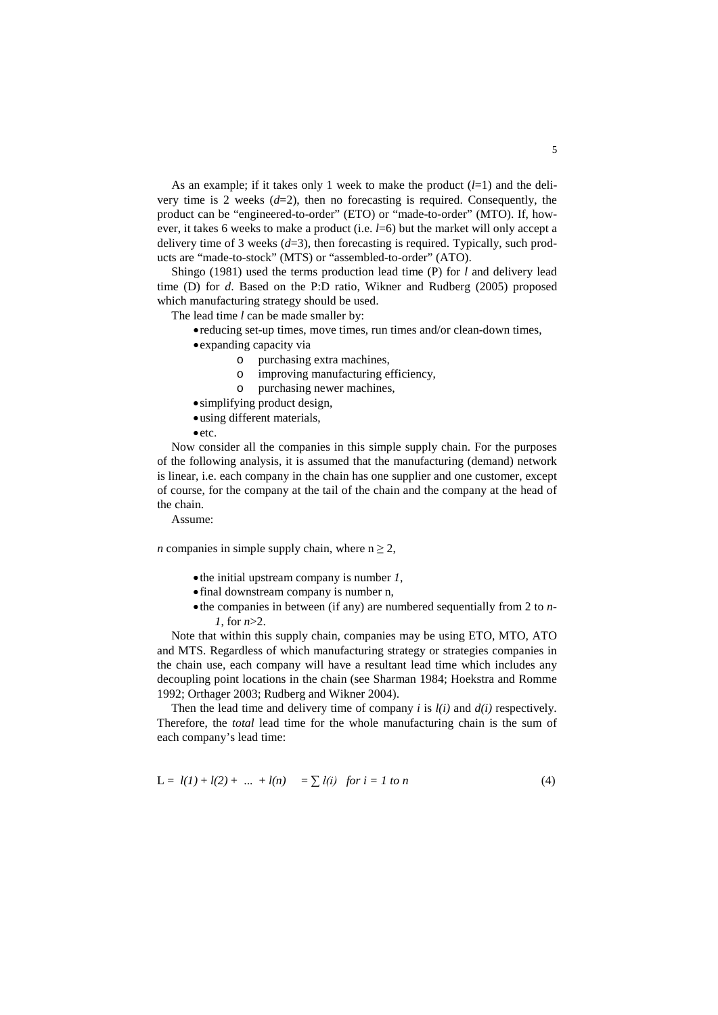As an example; if it takes only 1 week to make the product  $(l=1)$  and the delivery time is 2 weeks  $(d=2)$ , then no forecasting is required. Consequently, the product can be "engineered-to-order" (ETO) or "made-to-order" (MTO). If, however, it takes 6 weeks to make a product (i.e. *l*=6) but the market will only accept a delivery time of 3 weeks (*d*=3), then forecasting is required. Typically, such products are "made-to-stock" (MTS) or "assembled-to-order" (ATO).

Shingo (1981) used the terms production lead time (P) for *l* and delivery lead time (D) for *d*. Based on the P:D ratio, Wikner and Rudberg (2005) proposed which manufacturing strategy should be used.

The lead time *l* can be made smaller by:

•reducing set-up times, move times, run times and/or clean-down times,

•expanding capacity via

- o purchasing extra machines,
- o improving manufacturing efficiency,
- o purchasing newer machines,
- •simplifying product design,
- •using different materials,

 $\bullet$ etc.

Now consider all the companies in this simple supply chain. For the purposes of the following analysis, it is assumed that the manufacturing (demand) network is linear, i.e. each company in the chain has one supplier and one customer, except of course, for the company at the tail of the chain and the company at the head of the chain.

Assume:

*n* companies in simple supply chain, where  $n \ge 2$ ,

- •the initial upstream company is number *1*,
- •final downstream company is number n,
- •the companies in between (if any) are numbered sequentially from 2 to *n-1*, for *n*>2.

Note that within this supply chain, companies may be using ETO, MTO, ATO and MTS. Regardless of which manufacturing strategy or strategies companies in the chain use, each company will have a resultant lead time which includes any decoupling point locations in the chain (see Sharman 1984; Hoekstra and Romme 1992; Orthager 2003; Rudberg and Wikner 2004).

Then the lead time and delivery time of company *i* is *l(i)* and *d(i)* respectively. Therefore, the *total* lead time for the whole manufacturing chain is the sum of each company's lead time:

$$
L = l(1) + l(2) + \dots + l(n) = \sum l(i) \text{ for } i = 1 \text{ to } n
$$
 (4)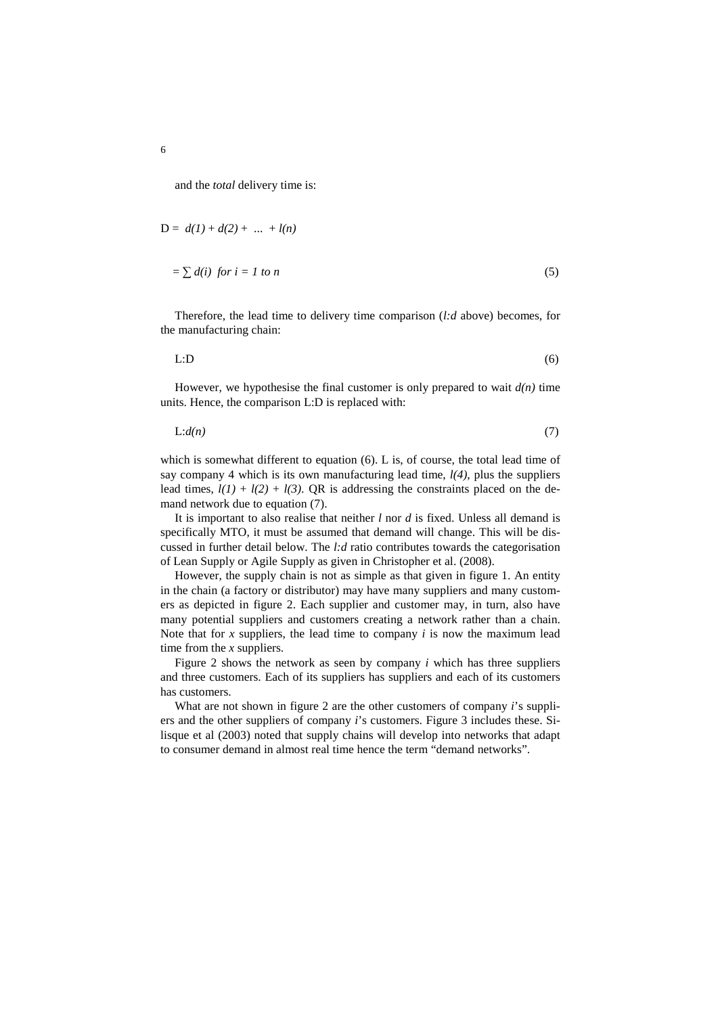and the *total* delivery time is:

$$
D = d(1) + d(2) + \dots + l(n)
$$

$$
= \sum d(i) \text{ for } i = 1 \text{ to } n \tag{5}
$$

Therefore, the lead time to delivery time comparison (*l:d* above) becomes, for the manufacturing chain:

$$
L:D \tag{6}
$$

However, we hypothesise the final customer is only prepared to wait  $d(n)$  time units. Hence, the comparison L:D is replaced with:

L:*d(n)* (7)

which is somewhat different to equation (6). L is, of course, the total lead time of say company 4 which is its own manufacturing lead time, *l(4)*, plus the suppliers lead times,  $l(1) + l(2) + l(3)$ . QR is addressing the constraints placed on the demand network due to equation (7).

It is important to also realise that neither *l* nor *d* is fixed. Unless all demand is specifically MTO, it must be assumed that demand will change. This will be discussed in further detail below. The *l:d* ratio contributes towards the categorisation of Lean Supply or Agile Supply as given in Christopher et al. (2008).

However, the supply chain is not as simple as that given in figure 1. An entity in the chain (a factory or distributor) may have many suppliers and many customers as depicted in figure 2. Each supplier and customer may, in turn, also have many potential suppliers and customers creating a network rather than a chain. Note that for  $x$  suppliers, the lead time to company  $i$  is now the maximum lead time from the *x* suppliers.

Figure 2 shows the network as seen by company *i* which has three suppliers and three customers. Each of its suppliers has suppliers and each of its customers has customers.

What are not shown in figure 2 are the other customers of company *i*'s suppliers and the other suppliers of company *i*'s customers. Figure 3 includes these. Silisque et al (2003) noted that supply chains will develop into networks that adapt to consumer demand in almost real time hence the term "demand networks".

6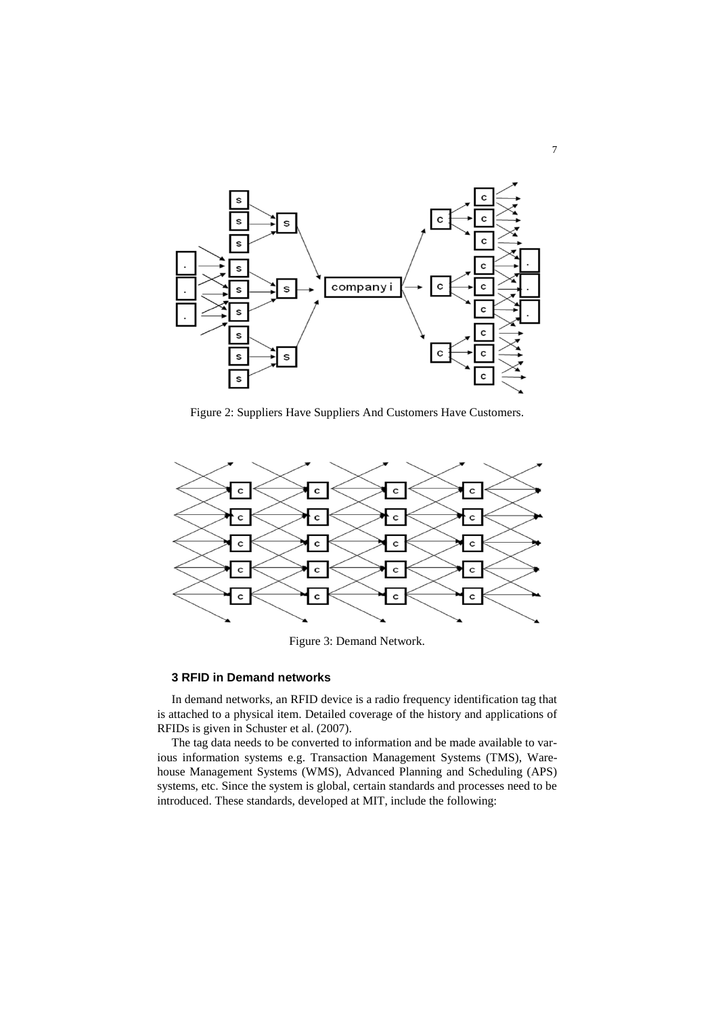

Figure 2: Suppliers Have Suppliers And Customers Have Customers.



Figure 3: Demand Network.

#### **3 RFID in Demand networks**

In demand networks, an RFID device is a radio frequency identification tag that is attached to a physical item. Detailed coverage of the history and applications of RFIDs is given in Schuster et al. (2007).

The tag data needs to be converted to information and be made available to various information systems e.g. Transaction Management Systems (TMS), Warehouse Management Systems (WMS), Advanced Planning and Scheduling (APS) systems, etc. Since the system is global, certain standards and processes need to be introduced. These standards, developed at MIT, include the following: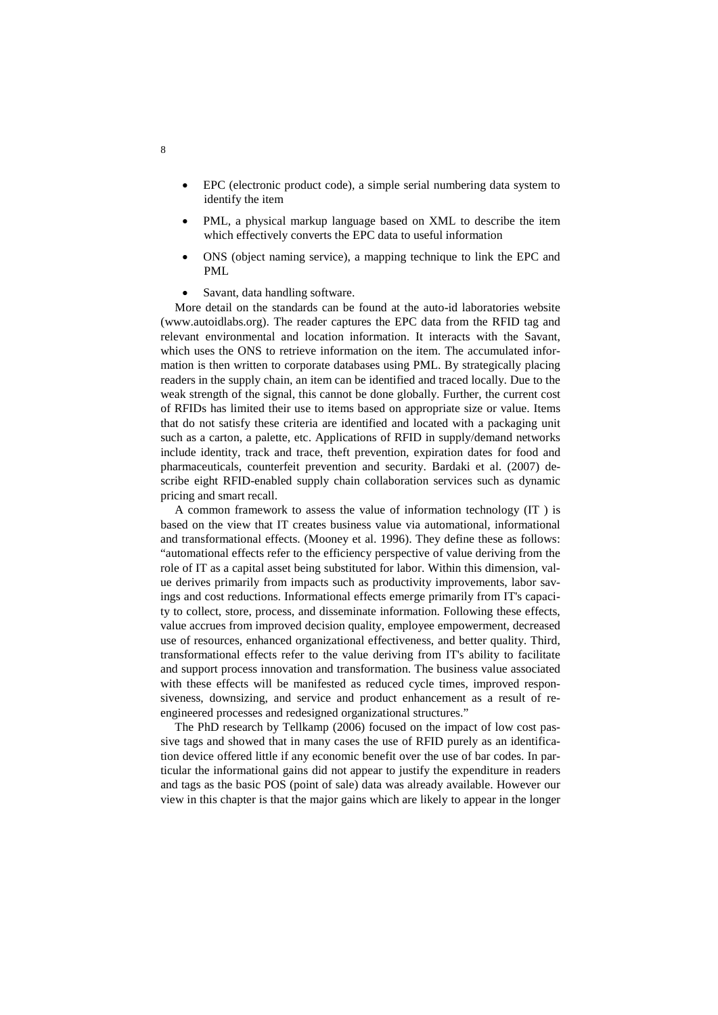- EPC (electronic product code), a simple serial numbering data system to identify the item
- PML, a physical markup language based on XML to describe the item which effectively converts the EPC data to useful information
- ONS (object naming service), a mapping technique to link the EPC and PML
- Savant, data handling software.

More detail on the standards can be found at the auto-id laboratories website (www.autoidlabs.org). The reader captures the EPC data from the RFID tag and relevant environmental and location information. It interacts with the Savant, which uses the ONS to retrieve information on the item. The accumulated information is then written to corporate databases using PML. By strategically placing readers in the supply chain, an item can be identified and traced locally. Due to the weak strength of the signal, this cannot be done globally. Further, the current cost of RFIDs has limited their use to items based on appropriate size or value. Items that do not satisfy these criteria are identified and located with a packaging unit such as a carton, a palette, etc. Applications of RFID in supply/demand networks include identity, track and trace, theft prevention, expiration dates for food and pharmaceuticals, counterfeit prevention and security. Bardaki et al. (2007) describe eight RFID-enabled supply chain collaboration services such as dynamic pricing and smart recall.

A common framework to assess the value of information technology (IT ) is based on the view that IT creates business value via automational, informational and transformational effects. (Mooney et al. 1996). They define these as follows: "automational effects refer to the efficiency perspective of value deriving from the role of IT as a capital asset being substituted for labor. Within this dimension, value derives primarily from impacts such as productivity improvements, labor savings and cost reductions. Informational effects emerge primarily from IT's capacity to collect, store, process, and disseminate information. Following these effects, value accrues from improved decision quality, employee empowerment, decreased use of resources, enhanced organizational effectiveness, and better quality. Third, transformational effects refer to the value deriving from IT's ability to facilitate and support process innovation and transformation. The business value associated with these effects will be manifested as reduced cycle times, improved responsiveness, downsizing, and service and product enhancement as a result of reengineered processes and redesigned organizational structures."

The PhD research by Tellkamp (2006) focused on the impact of low cost passive tags and showed that in many cases the use of RFID purely as an identification device offered little if any economic benefit over the use of bar codes. In particular the informational gains did not appear to justify the expenditure in readers and tags as the basic POS (point of sale) data was already available. However our view in this chapter is that the major gains which are likely to appear in the longer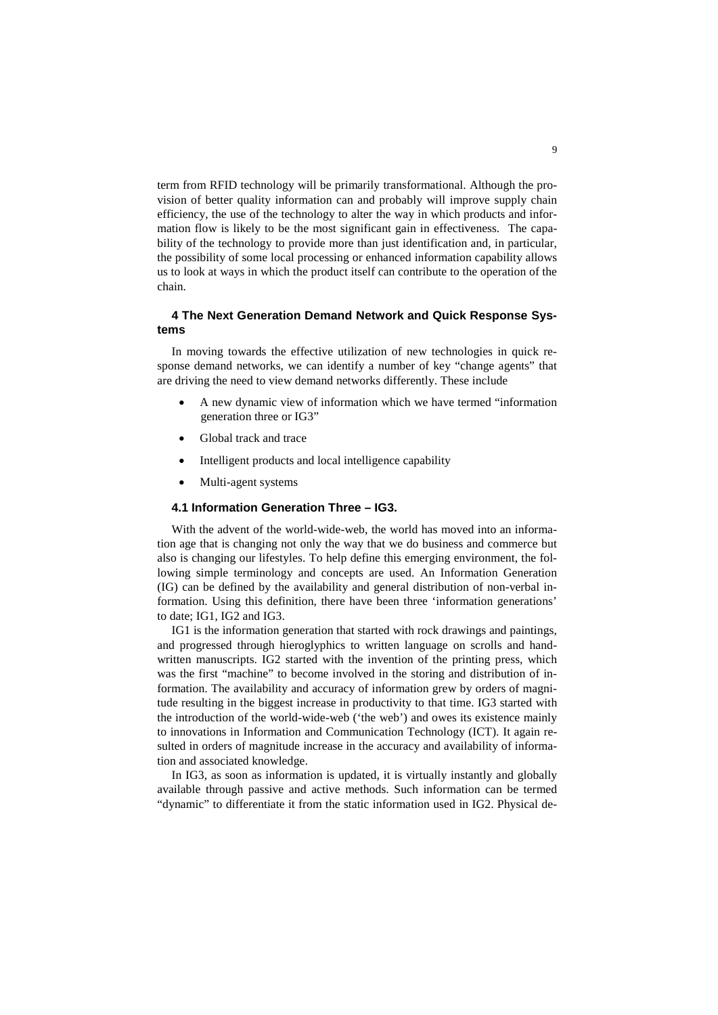term from RFID technology will be primarily transformational. Although the provision of better quality information can and probably will improve supply chain efficiency, the use of the technology to alter the way in which products and information flow is likely to be the most significant gain in effectiveness. The capability of the technology to provide more than just identification and, in particular, the possibility of some local processing or enhanced information capability allows us to look at ways in which the product itself can contribute to the operation of the chain.

#### **4 The Next Generation Demand Network and Quick Response Systems**

In moving towards the effective utilization of new technologies in quick response demand networks, we can identify a number of key "change agents" that are driving the need to view demand networks differently. These include

- A new dynamic view of information which we have termed "information generation three or IG3"
- Global track and trace
- Intelligent products and local intelligence capability
- Multi-agent systems

#### **4.1 Information Generation Three – IG3.**

With the advent of the world-wide-web, the world has moved into an information age that is changing not only the way that we do business and commerce but also is changing our lifestyles. To help define this emerging environment, the following simple terminology and concepts are used. An Information Generation (IG) can be defined by the availability and general distribution of non-verbal information. Using this definition, there have been three 'information generations' to date; IG1, IG2 and IG3.

IG1 is the information generation that started with rock drawings and paintings, and progressed through hieroglyphics to written language on scrolls and handwritten manuscripts. IG2 started with the invention of the printing press, which was the first "machine" to become involved in the storing and distribution of information. The availability and accuracy of information grew by orders of magnitude resulting in the biggest increase in productivity to that time. IG3 started with the introduction of the world-wide-web ('the web') and owes its existence mainly to innovations in Information and Communication Technology (ICT). It again resulted in orders of magnitude increase in the accuracy and availability of information and associated knowledge.

In IG3, as soon as information is updated, it is virtually instantly and globally available through passive and active methods. Such information can be termed "dynamic" to differentiate it from the static information used in IG2. Physical de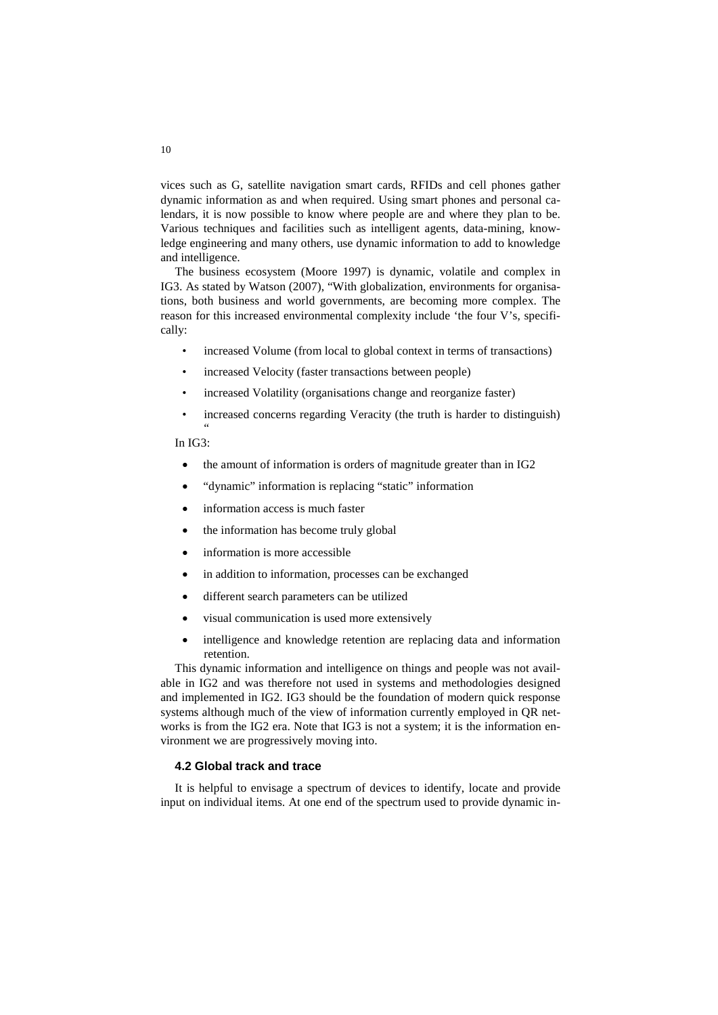vices such as G, satellite navigation smart cards, RFIDs and cell phones gather dynamic information as and when required. Using smart phones and personal calendars, it is now possible to know where people are and where they plan to be. Various techniques and facilities such as intelligent agents, data-mining, knowledge engineering and many others, use dynamic information to add to knowledge and intelligence.

The business ecosystem (Moore 1997) is dynamic, volatile and complex in IG3. As stated by Watson (2007), "With globalization, environments for organisations, both business and world governments, are becoming more complex. The reason for this increased environmental complexity include 'the four V's, specifically:

- increased Volume (from local to global context in terms of transactions)
- increased Velocity (faster transactions between people)
- increased Volatility (organisations change and reorganize faster)
- increased concerns regarding Veracity (the truth is harder to distinguish)

#### In IG3:

"

- the amount of information is orders of magnitude greater than in IG2
- "dynamic" information is replacing "static" information
- information access is much faster
- the information has become truly global
- information is more accessible
- in addition to information, processes can be exchanged
- different search parameters can be utilized
- visual communication is used more extensively
- intelligence and knowledge retention are replacing data and information retention.

This dynamic information and intelligence on things and people was not available in IG2 and was therefore not used in systems and methodologies designed and implemented in IG2. IG3 should be the foundation of modern quick response systems although much of the view of information currently employed in QR networks is from the IG2 era. Note that IG3 is not a system; it is the information environment we are progressively moving into.

#### **4.2 Global track and trace**

It is helpful to envisage a spectrum of devices to identify, locate and provide input on individual items. At one end of the spectrum used to provide dynamic in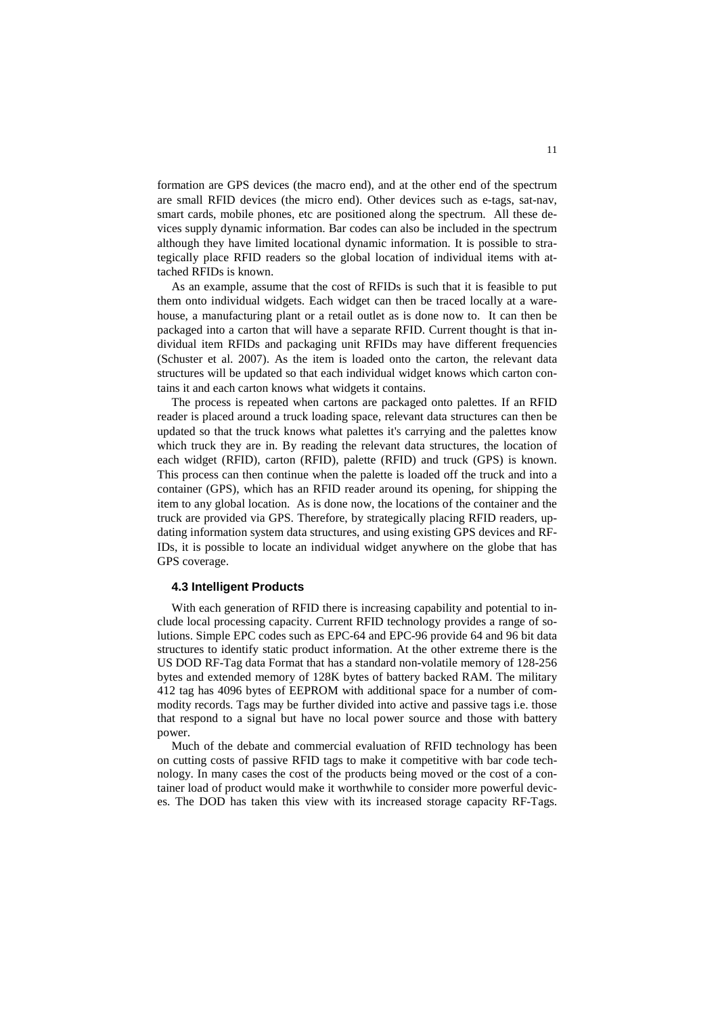formation are GPS devices (the macro end), and at the other end of the spectrum are small RFID devices (the micro end). Other devices such as e-tags, sat-nav, smart cards, mobile phones, etc are positioned along the spectrum. All these devices supply dynamic information. Bar codes can also be included in the spectrum although they have limited locational dynamic information. It is possible to strategically place RFID readers so the global location of individual items with attached RFIDs is known.

As an example, assume that the cost of RFIDs is such that it is feasible to put them onto individual widgets. Each widget can then be traced locally at a warehouse, a manufacturing plant or a retail outlet as is done now to. It can then be packaged into a carton that will have a separate RFID. Current thought is that individual item RFIDs and packaging unit RFIDs may have different frequencies (Schuster et al. 2007). As the item is loaded onto the carton, the relevant data structures will be updated so that each individual widget knows which carton contains it and each carton knows what widgets it contains.

The process is repeated when cartons are packaged onto palettes. If an RFID reader is placed around a truck loading space, relevant data structures can then be updated so that the truck knows what palettes it's carrying and the palettes know which truck they are in. By reading the relevant data structures, the location of each widget (RFID), carton (RFID), palette (RFID) and truck (GPS) is known. This process can then continue when the palette is loaded off the truck and into a container (GPS), which has an RFID reader around its opening, for shipping the item to any global location. As is done now, the locations of the container and the truck are provided via GPS. Therefore, by strategically placing RFID readers, updating information system data structures, and using existing GPS devices and RF-IDs, it is possible to locate an individual widget anywhere on the globe that has GPS coverage.

#### **4.3 Intelligent Products**

With each generation of RFID there is increasing capability and potential to include local processing capacity. Current RFID technology provides a range of solutions. Simple EPC codes such as EPC-64 and EPC-96 provide 64 and 96 bit data structures to identify static product information. At the other extreme there is the US DOD RF-Tag data Format that has a standard non-volatile memory of 128-256 bytes and extended memory of 128K bytes of battery backed RAM. The military 412 tag has 4096 bytes of EEPROM with additional space for a number of commodity records. Tags may be further divided into active and passive tags i.e. those that respond to a signal but have no local power source and those with battery power.

Much of the debate and commercial evaluation of RFID technology has been on cutting costs of passive RFID tags to make it competitive with bar code technology. In many cases the cost of the products being moved or the cost of a container load of product would make it worthwhile to consider more powerful devices. The DOD has taken this view with its increased storage capacity RF-Tags.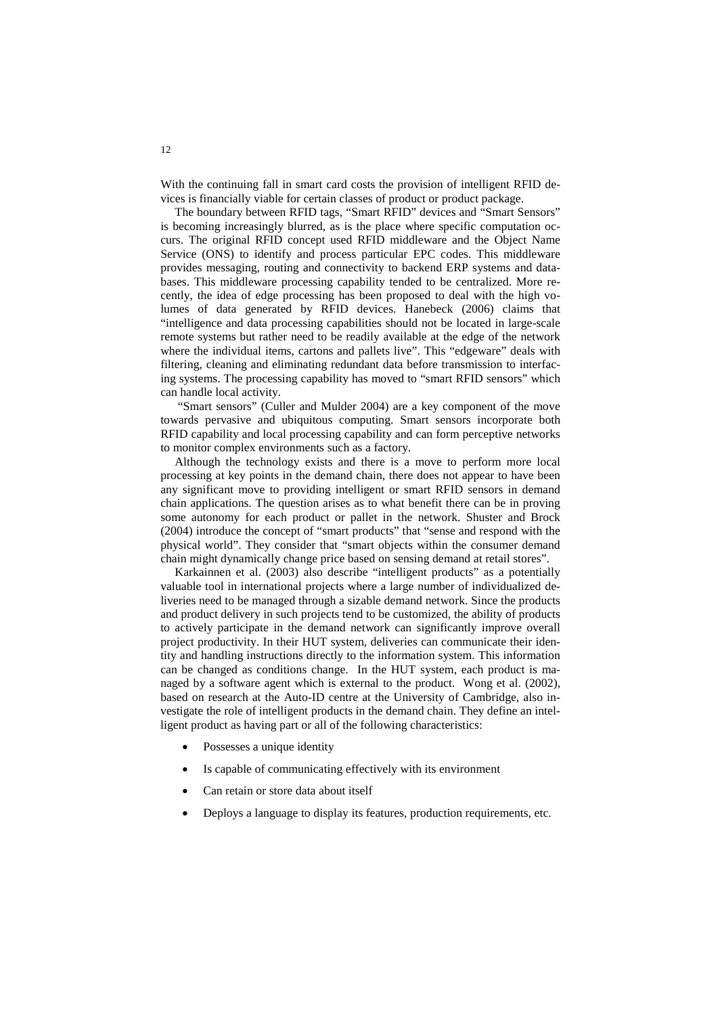With the continuing fall in smart card costs the provision of intelligent RFID devices is financially viable for certain classes of product or product package.

The boundary between RFID tags, "Smart RFID" devices and "Smart Sensors" is becoming increasingly blurred, as is the place where specific computation occurs. The original RFID concept used RFID middleware and the Object Name Service (ONS) to identify and process particular EPC codes. This middleware provides messaging, routing and connectivity to backend ERP systems and databases. This middleware processing capability tended to be centralized. More recently, the idea of edge processing has been proposed to deal with the high volumes of data generated by RFID devices. Hanebeck (2006) claims that "intelligence and data processing capabilities should not be located in large-scale remote systems but rather need to be readily available at the edge of the network where the individual items, cartons and pallets live". This "edgeware" deals with filtering, cleaning and eliminating redundant data before transmission to interfacing systems. The processing capability has moved to "smart RFID sensors" which can handle local activity.

"Smart sensors" (Culler and Mulder 2004) are a key component of the move towards pervasive and ubiquitous computing. Smart sensors incorporate both RFID capability and local processing capability and can form perceptive networks to monitor complex environments such as a factory.

Although the technology exists and there is a move to perform more local processing at key points in the demand chain, there does not appear to have been any significant move to providing intelligent or smart RFID sensors in demand chain applications. The question arises as to what benefit there can be in proving some autonomy for each product or pallet in the network. Shuster and Brock (2004) introduce the concept of "smart products" that "sense and respond with the physical world". They consider that "smart objects within the consumer demand chain might dynamically change price based on sensing demand at retail stores".

Karkainnen et al. (2003) also describe "intelligent products" as a potentially valuable tool in international projects where a large number of individualized deliveries need to be managed through a sizable demand network. Since the products and product delivery in such projects tend to be customized, the ability of products to actively participate in the demand network can significantly improve overall project productivity. In their HUT system, deliveries can communicate their identity and handling instructions directly to the information system. This information can be changed as conditions change. In the HUT system, each product is managed by a software agent which is external to the product. Wong et al. (2002), based on research at the Auto-ID centre at the University of Cambridge, also investigate the role of intelligent products in the demand chain. They define an intelligent product as having part or all of the following characteristics:

- Possesses a unique identity
- Is capable of communicating effectively with its environment
- Can retain or store data about itself
- Deploys a language to display its features, production requirements, etc.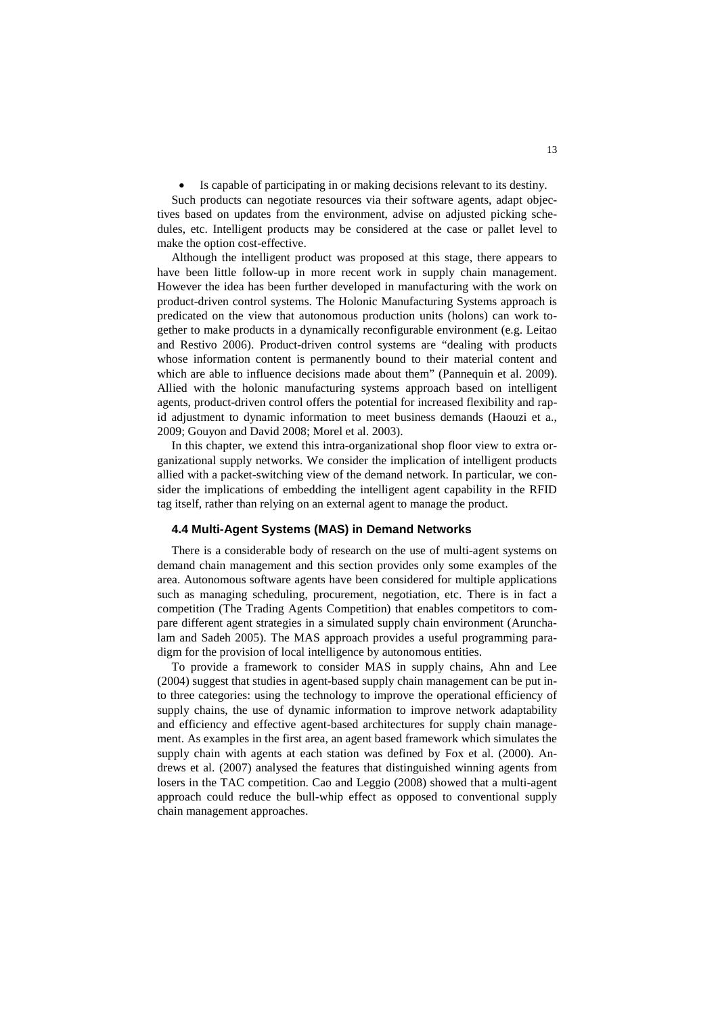Is capable of participating in or making decisions relevant to its destiny.

Such products can negotiate resources via their software agents, adapt objectives based on updates from the environment, advise on adjusted picking schedules, etc. Intelligent products may be considered at the case or pallet level to make the option cost-effective.

Although the intelligent product was proposed at this stage, there appears to have been little follow-up in more recent work in supply chain management. However the idea has been further developed in manufacturing with the work on product-driven control systems. The Holonic Manufacturing Systems approach is predicated on the view that autonomous production units (holons) can work together to make products in a dynamically reconfigurable environment (e.g. Leitao and Restivo 2006). Product-driven control systems are "dealing with products whose information content is permanently bound to their material content and which are able to influence decisions made about them" (Pannequin et al. 2009). Allied with the holonic manufacturing systems approach based on intelligent agents, product-driven control offers the potential for increased flexibility and rapid adjustment to dynamic information to meet business demands (Haouzi et a., 2009; Gouyon and David 2008; Morel et al. 2003).

In this chapter, we extend this intra-organizational shop floor view to extra organizational supply networks. We consider the implication of intelligent products allied with a packet-switching view of the demand network. In particular, we consider the implications of embedding the intelligent agent capability in the RFID tag itself, rather than relying on an external agent to manage the product.

#### **4.4 Multi-Agent Systems (MAS) in Demand Networks**

There is a considerable body of research on the use of multi-agent systems on demand chain management and this section provides only some examples of the area. Autonomous software agents have been considered for multiple applications such as managing scheduling, procurement, negotiation, etc. There is in fact a competition (The Trading Agents Competition) that enables competitors to compare different agent strategies in a simulated supply chain environment (Arunchalam and Sadeh 2005). The MAS approach provides a useful programming paradigm for the provision of local intelligence by autonomous entities.

To provide a framework to consider MAS in supply chains, Ahn and Lee (2004) suggest that studies in agent-based supply chain management can be put into three categories: using the technology to improve the operational efficiency of supply chains, the use of dynamic information to improve network adaptability and efficiency and effective agent-based architectures for supply chain management. As examples in the first area, an agent based framework which simulates the supply chain with agents at each station was defined by Fox et al. (2000). Andrews et al. (2007) analysed the features that distinguished winning agents from losers in the TAC competition. Cao and Leggio (2008) showed that a multi-agent approach could reduce the bull-whip effect as opposed to conventional supply chain management approaches.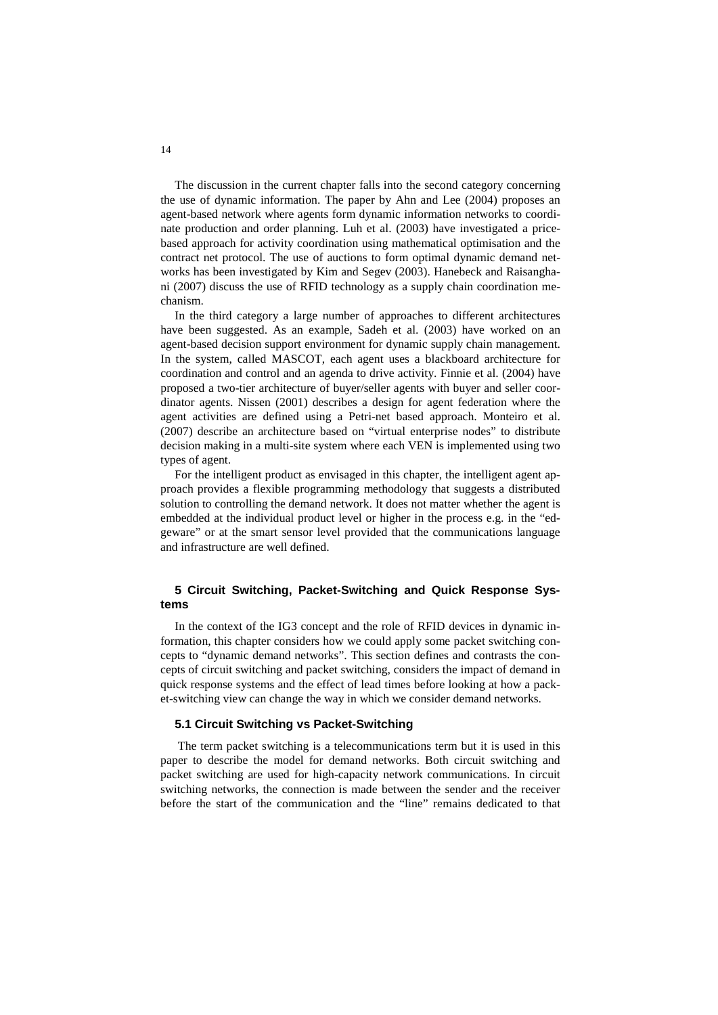The discussion in the current chapter falls into the second category concerning the use of dynamic information. The paper by Ahn and Lee (2004) proposes an agent-based network where agents form dynamic information networks to coordinate production and order planning. Luh et al. (2003) have investigated a pricebased approach for activity coordination using mathematical optimisation and the contract net protocol. The use of auctions to form optimal dynamic demand networks has been investigated by Kim and Segev (2003). Hanebeck and Raisanghani (2007) discuss the use of RFID technology as a supply chain coordination mechanism.

In the third category a large number of approaches to different architectures have been suggested. As an example, Sadeh et al. (2003) have worked on an agent-based decision support environment for dynamic supply chain management. In the system, called MASCOT, each agent uses a blackboard architecture for coordination and control and an agenda to drive activity. Finnie et al. (2004) have proposed a two-tier architecture of buyer/seller agents with buyer and seller coordinator agents. Nissen (2001) describes a design for agent federation where the agent activities are defined using a Petri-net based approach. Monteiro et al. (2007) describe an architecture based on "virtual enterprise nodes" to distribute decision making in a multi-site system where each VEN is implemented using two types of agent.

For the intelligent product as envisaged in this chapter, the intelligent agent approach provides a flexible programming methodology that suggests a distributed solution to controlling the demand network. It does not matter whether the agent is embedded at the individual product level or higher in the process e.g. in the "edgeware" or at the smart sensor level provided that the communications language and infrastructure are well defined.

#### **5 Circuit Switching, Packet-Switching and Quick Response Systems**

In the context of the IG3 concept and the role of RFID devices in dynamic information, this chapter considers how we could apply some packet switching concepts to "dynamic demand networks". This section defines and contrasts the concepts of circuit switching and packet switching, considers the impact of demand in quick response systems and the effect of lead times before looking at how a packet-switching view can change the way in which we consider demand networks.

#### **5.1 Circuit Switching vs Packet-Switching**

The term packet switching is a telecommunications term but it is used in this paper to describe the model for demand networks. Both circuit switching and packet switching are used for high-capacity network communications. In circuit switching networks, the connection is made between the sender and the receiver before the start of the communication and the "line" remains dedicated to that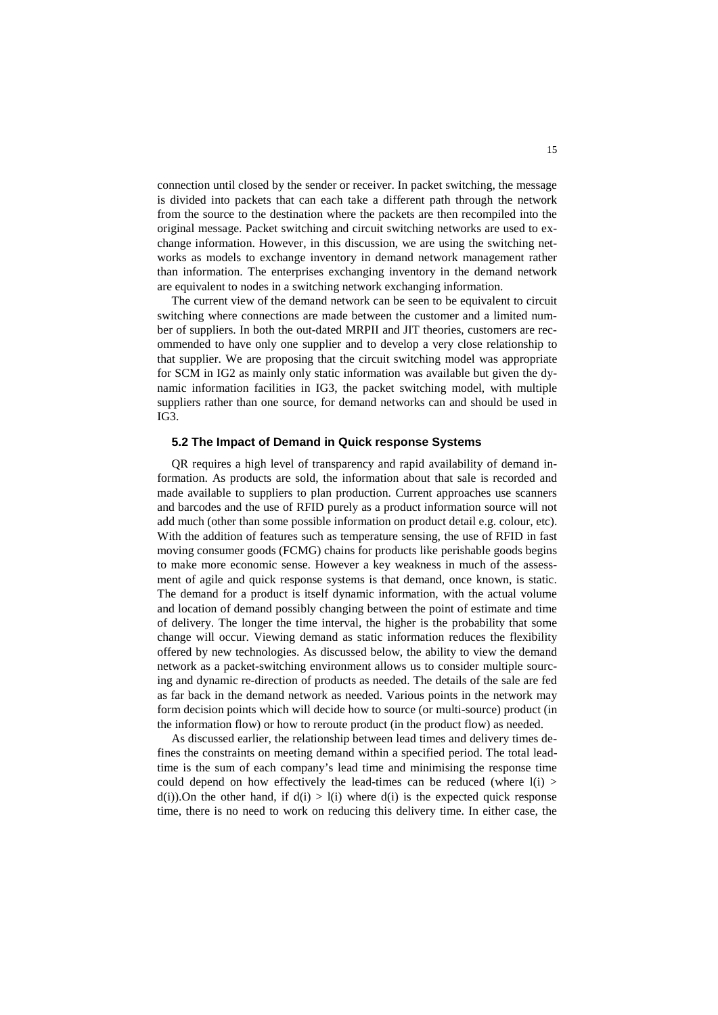connection until closed by the sender or receiver. In packet switching, the message is divided into packets that can each take a different path through the network from the source to the destination where the packets are then recompiled into the original message. Packet switching and circuit switching networks are used to exchange information. However, in this discussion, we are using the switching networks as models to exchange inventory in demand network management rather than information. The enterprises exchanging inventory in the demand network are equivalent to nodes in a switching network exchanging information.

The current view of the demand network can be seen to be equivalent to circuit switching where connections are made between the customer and a limited number of suppliers. In both the out-dated MRPII and JIT theories, customers are recommended to have only one supplier and to develop a very close relationship to that supplier. We are proposing that the circuit switching model was appropriate for SCM in IG2 as mainly only static information was available but given the dynamic information facilities in IG3, the packet switching model, with multiple suppliers rather than one source, for demand networks can and should be used in IG3.

#### **5.2 The Impact of Demand in Quick response Systems**

QR requires a high level of transparency and rapid availability of demand information. As products are sold, the information about that sale is recorded and made available to suppliers to plan production. Current approaches use scanners and barcodes and the use of RFID purely as a product information source will not add much (other than some possible information on product detail e.g. colour, etc). With the addition of features such as temperature sensing, the use of RFID in fast moving consumer goods (FCMG) chains for products like perishable goods begins to make more economic sense. However a key weakness in much of the assessment of agile and quick response systems is that demand, once known, is static. The demand for a product is itself dynamic information, with the actual volume and location of demand possibly changing between the point of estimate and time of delivery. The longer the time interval, the higher is the probability that some change will occur. Viewing demand as static information reduces the flexibility offered by new technologies. As discussed below, the ability to view the demand network as a packet-switching environment allows us to consider multiple sourcing and dynamic re-direction of products as needed. The details of the sale are fed as far back in the demand network as needed. Various points in the network may form decision points which will decide how to source (or multi-source) product (in the information flow) or how to reroute product (in the product flow) as needed.

As discussed earlier, the relationship between lead times and delivery times defines the constraints on meeting demand within a specified period. The total leadtime is the sum of each company's lead time and minimising the response time could depend on how effectively the lead-times can be reduced (where  $l(i)$  >  $d(i)$ ). On the other hand, if  $d(i) > l(i)$  where  $d(i)$  is the expected quick response time, there is no need to work on reducing this delivery time. In either case, the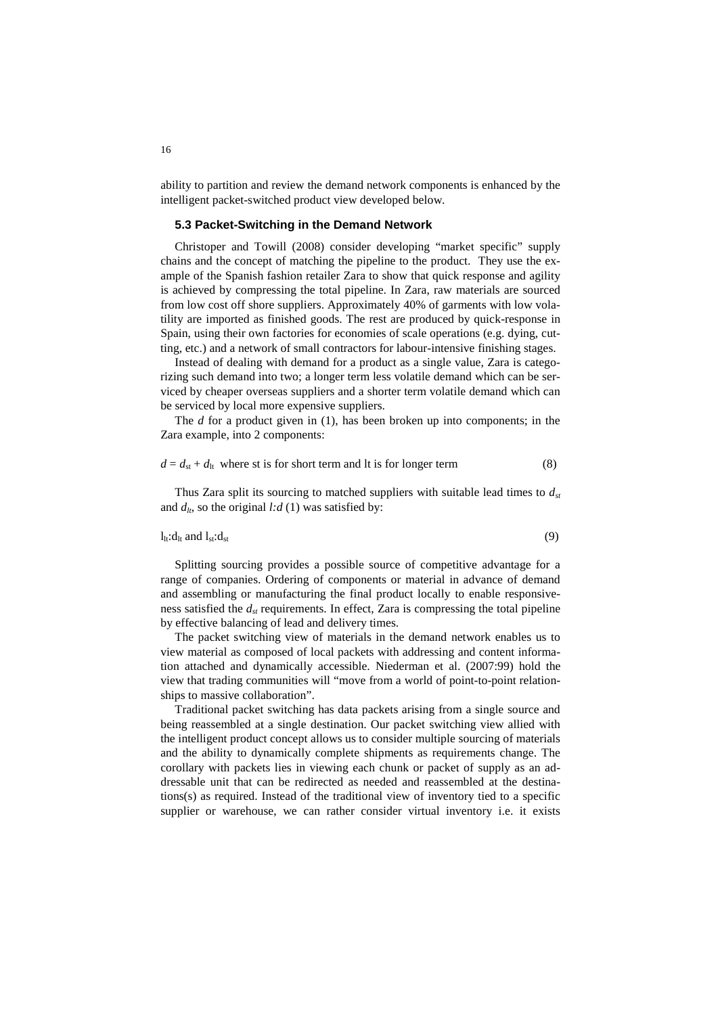ability to partition and review the demand network components is enhanced by the intelligent packet-switched product view developed below.

#### **5.3 Packet-Switching in the Demand Network**

Christoper and Towill (2008) consider developing "market specific" supply chains and the concept of matching the pipeline to the product. They use the example of the Spanish fashion retailer Zara to show that quick response and agility is achieved by compressing the total pipeline. In Zara, raw materials are sourced from low cost off shore suppliers. Approximately 40% of garments with low volatility are imported as finished goods. The rest are produced by quick-response in Spain, using their own factories for economies of scale operations (e.g. dying, cutting, etc.) and a network of small contractors for labour-intensive finishing stages.

Instead of dealing with demand for a product as a single value, Zara is categorizing such demand into two; a longer term less volatile demand which can be serviced by cheaper overseas suppliers and a shorter term volatile demand which can be serviced by local more expensive suppliers.

The *d* for a product given in (1), has been broken up into components; in the Zara example, into 2 components:

$$
d = d_{st} + d_{lt}
$$
 where st is for short term and it is for longer term (8)

Thus Zara split its sourcing to matched suppliers with suitable lead times to  $d_{st}$ and  $d_{lt}$ , so the original  $l:d(1)$  was satisfied by:

### $l_{\text{lt}}$ : $d_{\text{lt}}$  and  $l_{\text{st}}$ : $d_{\text{st}}$  (9)

$$
^{(9)}
$$

Splitting sourcing provides a possible source of competitive advantage for a range of companies. Ordering of components or material in advance of demand and assembling or manufacturing the final product locally to enable responsiveness satisfied the  $d_{st}$  requirements. In effect, Zara is compressing the total pipeline by effective balancing of lead and delivery times.

The packet switching view of materials in the demand network enables us to view material as composed of local packets with addressing and content information attached and dynamically accessible. Niederman et al. (2007:99) hold the view that trading communities will "move from a world of point-to-point relationships to massive collaboration".

Traditional packet switching has data packets arising from a single source and being reassembled at a single destination. Our packet switching view allied with the intelligent product concept allows us to consider multiple sourcing of materials and the ability to dynamically complete shipments as requirements change. The corollary with packets lies in viewing each chunk or packet of supply as an addressable unit that can be redirected as needed and reassembled at the destinations(s) as required. Instead of the traditional view of inventory tied to a specific supplier or warehouse, we can rather consider virtual inventory i.e. it exists

16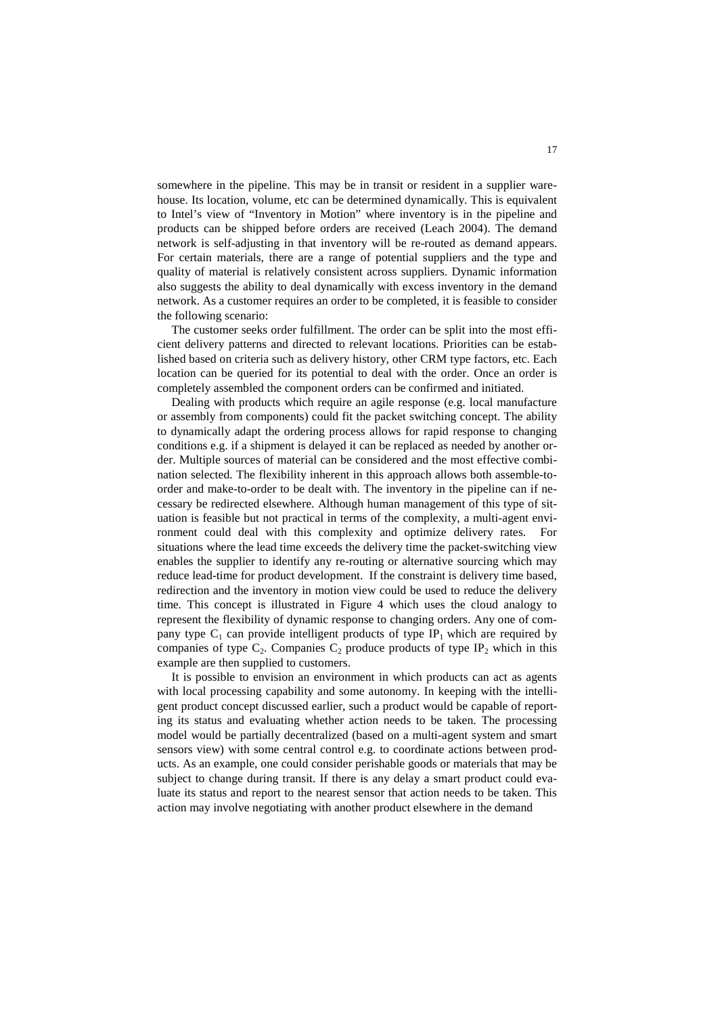somewhere in the pipeline. This may be in transit or resident in a supplier warehouse. Its location, volume, etc can be determined dynamically. This is equivalent to Intel's view of "Inventory in Motion" where inventory is in the pipeline and products can be shipped before orders are received (Leach 2004). The demand network is self-adjusting in that inventory will be re-routed as demand appears. For certain materials, there are a range of potential suppliers and the type and quality of material is relatively consistent across suppliers. Dynamic information also suggests the ability to deal dynamically with excess inventory in the demand network. As a customer requires an order to be completed, it is feasible to consider the following scenario:

The customer seeks order fulfillment. The order can be split into the most efficient delivery patterns and directed to relevant locations. Priorities can be established based on criteria such as delivery history, other CRM type factors, etc. Each location can be queried for its potential to deal with the order. Once an order is completely assembled the component orders can be confirmed and initiated.

Dealing with products which require an agile response (e.g. local manufacture or assembly from components) could fit the packet switching concept. The ability to dynamically adapt the ordering process allows for rapid response to changing conditions e.g. if a shipment is delayed it can be replaced as needed by another order. Multiple sources of material can be considered and the most effective combination selected. The flexibility inherent in this approach allows both assemble-toorder and make-to-order to be dealt with. The inventory in the pipeline can if necessary be redirected elsewhere. Although human management of this type of situation is feasible but not practical in terms of the complexity, a multi-agent environment could deal with this complexity and optimize delivery rates. For situations where the lead time exceeds the delivery time the packet-switching view enables the supplier to identify any re-routing or alternative sourcing which may reduce lead-time for product development. If the constraint is delivery time based, redirection and the inventory in motion view could be used to reduce the delivery time. This concept is illustrated in Figure 4 which uses the cloud analogy to represent the flexibility of dynamic response to changing orders. Any one of company type  $C_1$  can provide intelligent products of type IP<sub>1</sub> which are required by companies of type  $C_2$ . Companies  $C_2$  produce products of type IP<sub>2</sub> which in this example are then supplied to customers.

It is possible to envision an environment in which products can act as agents with local processing capability and some autonomy. In keeping with the intelligent product concept discussed earlier, such a product would be capable of reporting its status and evaluating whether action needs to be taken. The processing model would be partially decentralized (based on a multi-agent system and smart sensors view) with some central control e.g. to coordinate actions between products. As an example, one could consider perishable goods or materials that may be subject to change during transit. If there is any delay a smart product could evaluate its status and report to the nearest sensor that action needs to be taken. This action may involve negotiating with another product elsewhere in the demand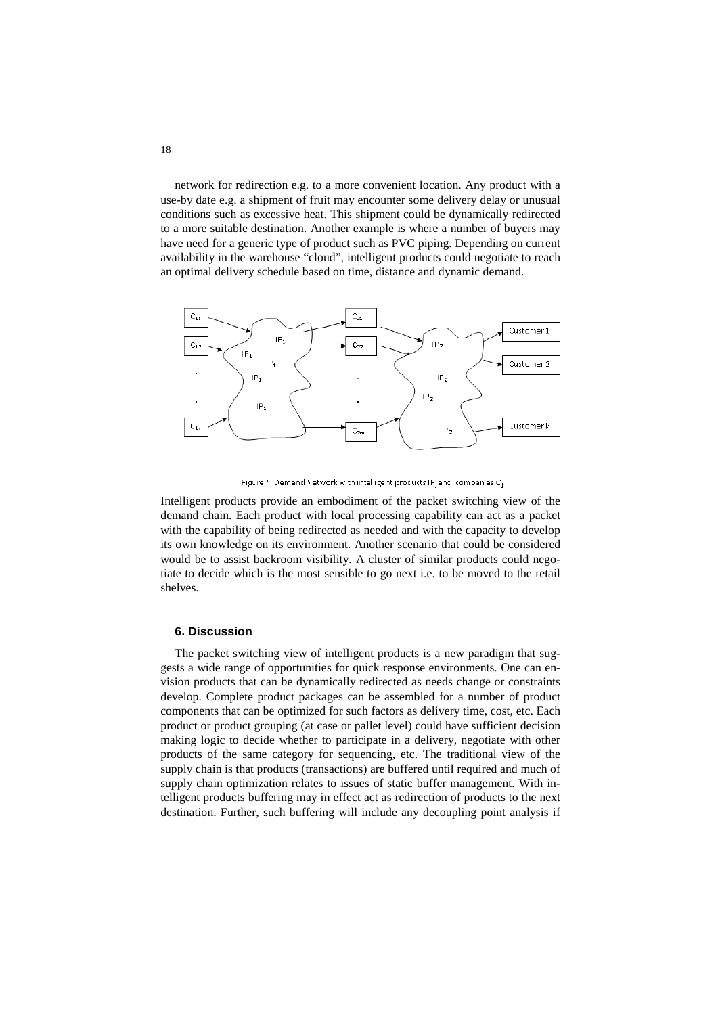network for redirection e.g. to a more convenient location. Any product with a use-by date e.g. a shipment of fruit may encounter some delivery delay or unusual conditions such as excessive heat. This shipment could be dynamically redirected to a more suitable destination. Another example is where a number of buyers may have need for a generic type of product such as PVC piping. Depending on current availability in the warehouse "cloud", intelligent products could negotiate to reach an optimal delivery schedule based on time, distance and dynamic demand.



Figure 4: Demand Network with intelligent products IP; and companies  $C_{ii}$ 

Intelligent products provide an embodiment of the packet switching view of the demand chain. Each product with local processing capability can act as a packet with the capability of being redirected as needed and with the capacity to develop its own knowledge on its environment. Another scenario that could be considered would be to assist backroom visibility. A cluster of similar products could negotiate to decide which is the most sensible to go next i.e. to be moved to the retail shelves.

#### **6. Discussion**

The packet switching view of intelligent products is a new paradigm that suggests a wide range of opportunities for quick response environments. One can envision products that can be dynamically redirected as needs change or constraints develop. Complete product packages can be assembled for a number of product components that can be optimized for such factors as delivery time, cost, etc. Each product or product grouping (at case or pallet level) could have sufficient decision making logic to decide whether to participate in a delivery, negotiate with other products of the same category for sequencing, etc. The traditional view of the supply chain is that products (transactions) are buffered until required and much of supply chain optimization relates to issues of static buffer management. With intelligent products buffering may in effect act as redirection of products to the next destination. Further, such buffering will include any decoupling point analysis if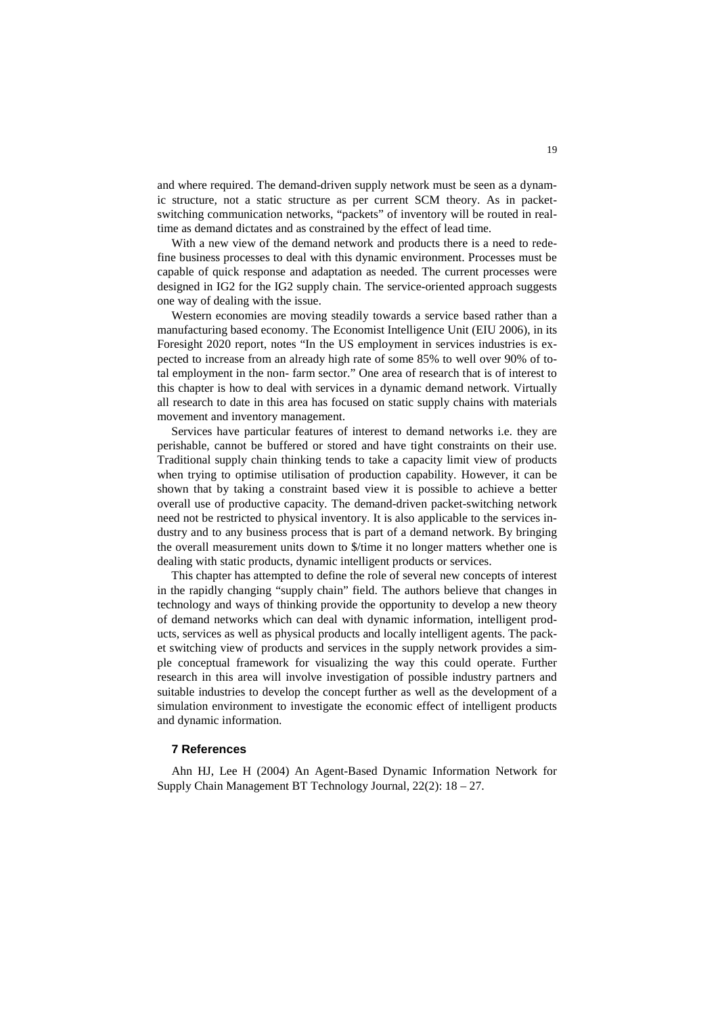and where required. The demand-driven supply network must be seen as a dynamic structure, not a static structure as per current SCM theory. As in packetswitching communication networks, "packets" of inventory will be routed in realtime as demand dictates and as constrained by the effect of lead time.

With a new view of the demand network and products there is a need to redefine business processes to deal with this dynamic environment. Processes must be capable of quick response and adaptation as needed. The current processes were designed in IG2 for the IG2 supply chain. The service-oriented approach suggests one way of dealing with the issue.

Western economies are moving steadily towards a service based rather than a manufacturing based economy. The Economist Intelligence Unit (EIU 2006), in its Foresight 2020 report, notes "In the US employment in services industries is expected to increase from an already high rate of some 85% to well over 90% of total employment in the non- farm sector." One area of research that is of interest to this chapter is how to deal with services in a dynamic demand network. Virtually all research to date in this area has focused on static supply chains with materials movement and inventory management.

Services have particular features of interest to demand networks i.e. they are perishable, cannot be buffered or stored and have tight constraints on their use. Traditional supply chain thinking tends to take a capacity limit view of products when trying to optimise utilisation of production capability. However, it can be shown that by taking a constraint based view it is possible to achieve a better overall use of productive capacity. The demand-driven packet-switching network need not be restricted to physical inventory. It is also applicable to the services industry and to any business process that is part of a demand network. By bringing the overall measurement units down to \$/time it no longer matters whether one is dealing with static products, dynamic intelligent products or services.

This chapter has attempted to define the role of several new concepts of interest in the rapidly changing "supply chain" field. The authors believe that changes in technology and ways of thinking provide the opportunity to develop a new theory of demand networks which can deal with dynamic information, intelligent products, services as well as physical products and locally intelligent agents. The packet switching view of products and services in the supply network provides a simple conceptual framework for visualizing the way this could operate. Further research in this area will involve investigation of possible industry partners and suitable industries to develop the concept further as well as the development of a simulation environment to investigate the economic effect of intelligent products and dynamic information.

#### **7 References**

Ahn HJ, Lee H (2004) An Agent-Based Dynamic Information Network for Supply Chain Management BT Technology Journal, 22(2): 18 – 27.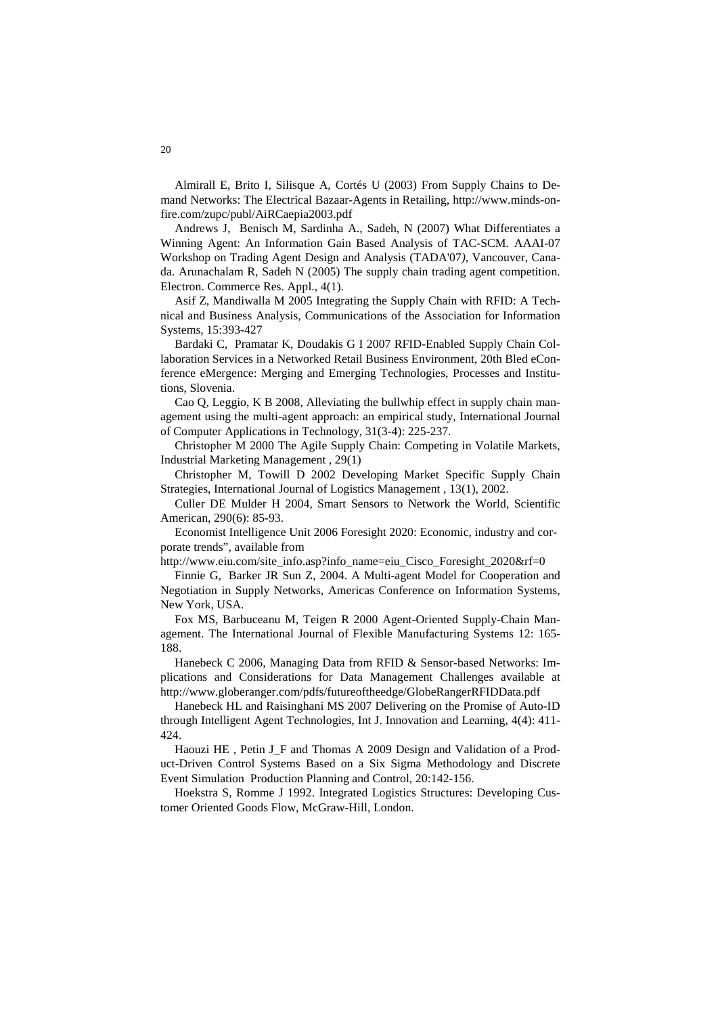Almirall E, Brito I, Silisque A, Cortés U (2003) From Supply Chains to Demand Networks: The Electrical Bazaar-Agents in Retailing, http://www.minds-onfire.com/zupc/publ/AiRCaepia2003.pdf

Andrews J, Benisch M, Sardinha A., Sadeh, N (2007) What Differentiates a Winning Agent: An Information Gain Based Analysis of TAC-SCM*.* AAAI-07 Workshop on Trading Agent Design and Analysis (TADA'07*)*, Vancouver, Canada. Arunachalam R, Sadeh N (2005) The supply chain trading agent competition. Electron. Commerce Res. Appl., 4(1).

Asif Z, Mandiwalla M 2005 Integrating the Supply Chain with RFID: A Technical and Business Analysis, Communications of the Association for Information Systems, 15:393-427

Bardaki C, Pramatar K, Doudakis G I 2007 RFID-Enabled Supply Chain Collaboration Services in a Networked Retail Business Environment, 20th Bled eConference eMergence: Merging and Emerging Technologies, Processes and Institutions, Slovenia.

Cao Q, Leggio, K B 2008, Alleviating the bullwhip effect in supply chain management using the multi-agent approach: an empirical study, International Journal of Computer Applications in Technology, 31(3-4): 225-237.

Christopher M 2000 The Agile Supply Chain: Competing in Volatile Markets, Industrial Marketing Management , 29(1)

Christopher M, Towill D 2002 Developing Market Specific Supply Chain Strategies, International Journal of Logistics Management , 13(1), 2002.

Culler DE Mulder H 2004*,* Smart Sensors to Network the World*,* Scientific American, 290(6): 85-93.

Economist Intelligence Unit 2006 Foresight 2020: Economic, industry and corporate trends", available from

http://www.eiu.com/site\_info.asp?info\_name=eiu\_Cisco\_Foresight\_2020&rf=0

Finnie G, Barker JR Sun Z, 2004. A Multi-agent Model for Cooperation and Negotiation in Supply Networks, Americas Conference on Information Systems, New York, USA.

Fox MS, Barbuceanu M, Teigen R 2000 Agent-Oriented Supply-Chain Management. The International Journal of Flexible Manufacturing Systems 12: 165- 188.

Hanebeck C 2006, Managing Data from RFID & Sensor-based Networks: Implications and Considerations for Data Management Challenges available at http://www.globeranger.com/pdfs/futureoftheedge/GlobeRangerRFIDData.pdf

Hanebeck HL and Raisinghani MS 2007 Delivering on the Promise of Auto-ID through Intelligent Agent Technologies, Int J. Innovation and Learning, 4(4): 411- 424.

Haouzi HE , Petin J\_F and Thomas A 2009 Design and Validation of a Product-Driven Control Systems Based on a Six Sigma Methodology and Discrete Event Simulation Production Planning and Control, 20:142-156.

Hoekstra S, Romme J 1992. Integrated Logistics Structures: Developing Customer Oriented Goods Flow, McGraw-Hill, London.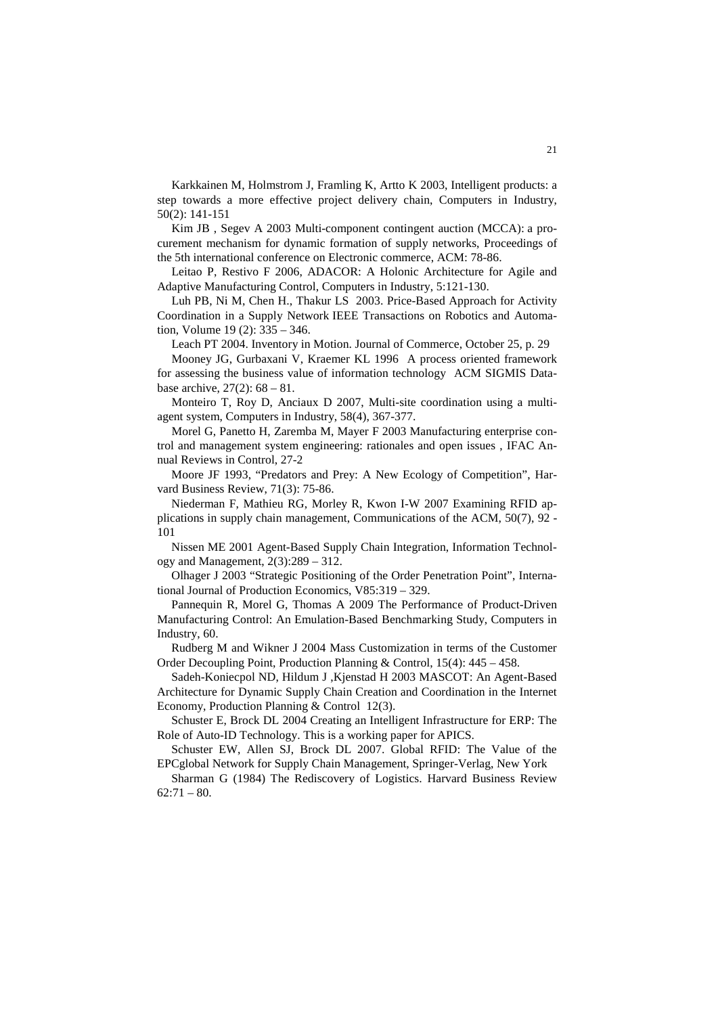Karkkainen M, Holmstrom J, Framling K, Artto K 2003, Intelligent products: a step towards a more effective project delivery chain, Computers in Industry, 50(2): 141-151

Kim JB , Segev A 2003 Multi-component contingent auction (MCCA): a procurement mechanism for dynamic formation of supply networks, Proceedings of the 5th international conference on Electronic commerce, ACM: 78-86.

Leitao P, Restivo F 2006, ADACOR: A Holonic Architecture for Agile and Adaptive Manufacturing Control, Computers in Industry, 5:121-130.

Luh PB, Ni M, Chen H., Thakur LS 2003. Price-Based Approach for Activity Coordination in a Supply Network IEEE Transactions on Robotics and Automation, Volume 19 (2): 335 – 346.

Leach PT 2004. Inventory in Motion. Journal of Commerce, October 25, p. 29

Mooney JG, Gurbaxani V, Kraemer KL 1996 A process oriented framework for assessing the business value of information technology ACM SIGMIS Database archive,  $27(2)$ :  $68 - 81$ .

Monteiro T, Roy D, Anciaux D 2007, Multi-site coordination using a multiagent system, Computers in Industry, 58(4), 367-377.

Morel G, Panetto H, Zaremba M, Mayer F 2003 Manufacturing enterprise control and management system engineering: rationales and open issues , IFAC Annual Reviews in Control, 27-2

Moore JF 1993, "Predators and Prey: A New Ecology of Competition", Harvard Business Review, 71(3): 75-86.

Niederman F, Mathieu RG, Morley R, Kwon I-W 2007 Examining RFID applications in supply chain management, Communications of the ACM, 50(7), 92 - 101

Nissen ME 2001 Agent-Based Supply Chain Integration, Information Technology and Management, 2(3):289 – 312.

Olhager J 2003 "Strategic Positioning of the Order Penetration Point", International Journal of Production Economics, V85:319 – 329.

Pannequin R, Morel G, Thomas A 2009 The Performance of Product-Driven Manufacturing Control: An Emulation-Based Benchmarking Study, Computers in Industry, 60.

Rudberg M and Wikner J 2004 Mass Customization in terms of the Customer Order Decoupling Point, Production Planning & Control, 15(4): 445 – 458.

Sadeh-Koniecpol ND, Hildum J ,Kjenstad H 2003 MASCOT: An Agent-Based Architecture for Dynamic Supply Chain Creation and Coordination in the Internet Economy, Production Planning & Control 12(3).

Schuster E, Brock DL 2004 Creating an Intelligent Infrastructure for ERP: The Role of Auto-ID Technology. This is a working paper for APICS.

Schuster EW, Allen SJ, Brock DL 2007. Global RFID: The Value of the EPCglobal Network for Supply Chain Management, Springer-Verlag, New York

Sharman G (1984) The Rediscovery of Logistics. Harvard Business Review  $62:71 - 80.$